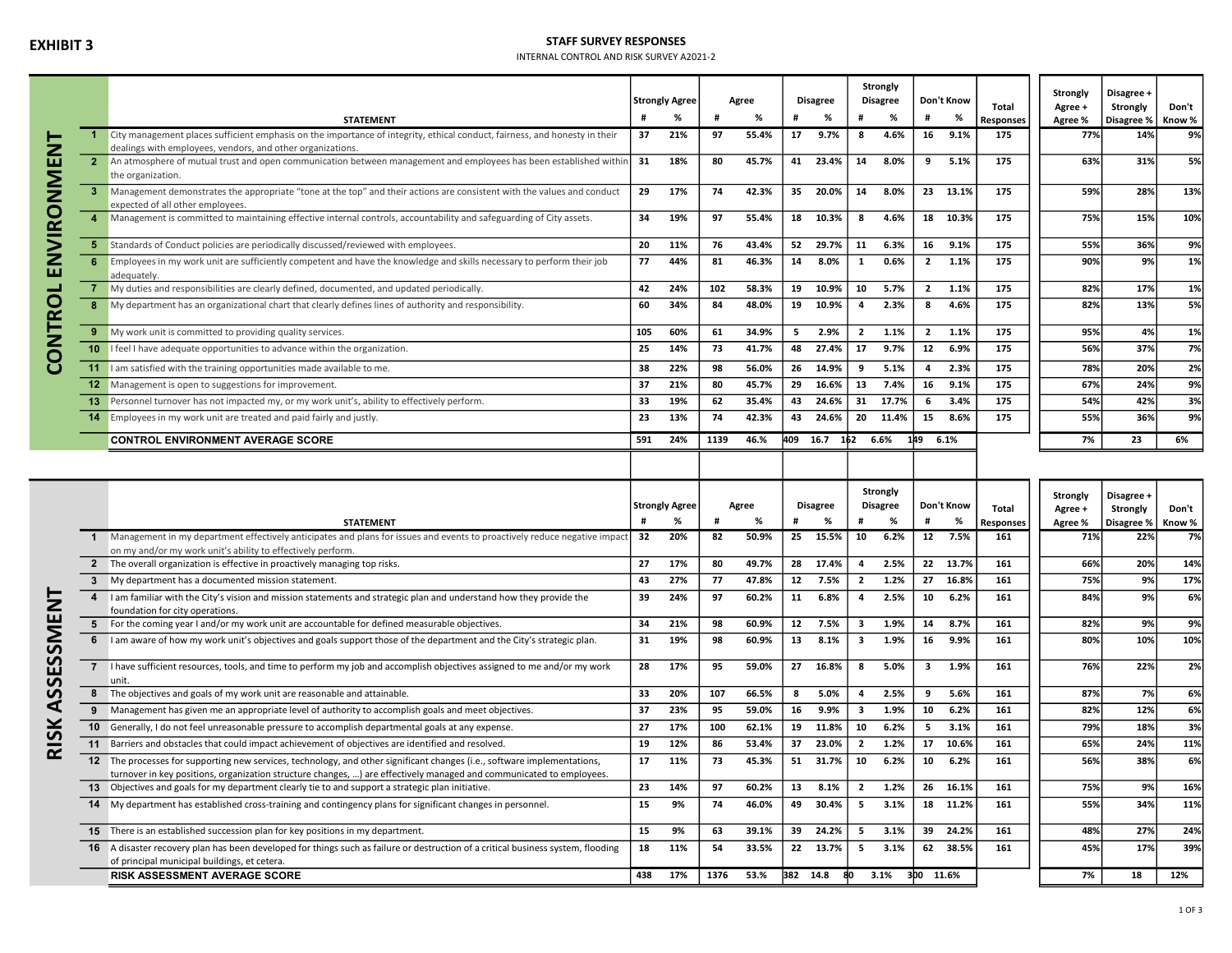# EXHIBIT 3

## STAFF SURVEY RESPONSES

INTERNAL CONTROL AND RISK SURVEY A2021-2

|               |                 |                                                                                                                                                                                          |     | <b>Strongly Agree</b> |      | Agree |     | <b>Disagree</b> |                         | Strongly<br><b>Disagree</b> |                | Don't Know | Total            | Strongly<br>Agree +         | Disagree +<br>Strongly | Don't  |
|---------------|-----------------|------------------------------------------------------------------------------------------------------------------------------------------------------------------------------------------|-----|-----------------------|------|-------|-----|-----------------|-------------------------|-----------------------------|----------------|------------|------------------|-----------------------------|------------------------|--------|
|               |                 | <b>STATEMENT</b>                                                                                                                                                                         |     | %                     |      | %     |     | %               |                         | %                           |                | %          | <b>Responses</b> | Agree %                     | Disagree %             | Know % |
| <b>TA</b>     |                 | City management places sufficient emphasis on the importance of integrity, ethical conduct, fairness, and honesty in their<br>dealings with employees, vendors, and other organizations. | 37  | 21%                   | 97   | 55.4% | 17  | 9.7%            | 8                       | 4.6%                        | 16             | 9.1%       | 175              | 77%                         | 14%                    | 9%     |
|               | 2 <sup>2</sup>  | An atmosphere of mutual trust and open communication between management and employees has been established within<br>the organization.                                                   | 31  | 18%                   | 80   | 45.7% |     | 41 23.4%        | 14                      | 8.0%                        | 9              | 5.1%       | 175              | 63%                         | 31%                    | 5%     |
| VIRONM        | -3.             | Management demonstrates the appropriate "tone at the top" and their actions are consistent with the values and conduct<br>expected of all other employees.                               | 29  | 17%                   | 74   | 42.3% | 35  | 20.0%           | 14                      | 8.0%                        |                | 23 13.1%   | 175              | 59%                         | 28%                    | 13%    |
|               | $\overline{4}$  | Management is committed to maintaining effective internal controls, accountability and safeguarding of City assets.                                                                      | 34  | 19%                   | 97   | 55.4% | 18  | 10.3%           | -8                      | 4.6%                        | 18             | 10.3%      | 175              | 75%                         | 15%                    | 10%    |
|               |                 | 5 Standards of Conduct policies are periodically discussed/reviewed with employees.                                                                                                      | 20  | 11%                   | 76   | 43.4% | 52  | 29.7%           | 11                      | 6.3%                        | 16             | 9.1%       | 175              | 55%                         | 36%                    | 9%     |
| Z<br>ш        | 6               | Employees in my work unit are sufficiently competent and have the knowledge and skills necessary to perform their job<br>adequately.                                                     | 77  | 44%                   | 81   | 46.3% | 14  | 8.0%            | $\mathbf{1}$            | 0.6%                        | $\overline{2}$ | 1.1%       | 175              | 90%                         | 9%                     | 1%     |
|               |                 | My duties and responsibilities are clearly defined, documented, and updated periodically.                                                                                                | 42  | 24%                   | 102  | 58.3% | 19  | 10.9%           | 10                      | 5.7%                        | $\overline{2}$ | 1.1%       | 175              | 82%                         | 17%                    | 1%     |
| <b>ONTROL</b> | 8               | My department has an organizational chart that clearly defines lines of authority and responsibility.                                                                                    | 60  | 34%                   | 84   | 48.0% | 19  | 10.9%           | $\overline{a}$          | 2.3%                        | 8              | 4.6%       | 175              | 82%                         | 13%                    | 5%     |
|               |                 | 9 My work unit is committed to providing quality services.                                                                                                                               | 105 | 60%                   | 61   | 34.9% | 5   | 2.9%            | $\overline{\mathbf{2}}$ | 1.1%                        | $\overline{2}$ | 1.1%       | 175              | 95%                         | 4%                     | 1%     |
|               | 10 <sup>1</sup> | I feel I have adequate opportunities to advance within the organization.                                                                                                                 | 25  | 14%                   | 73   | 41.7% | 48  | 27.4%           | 17                      | 9.7%                        | 12             | 6.9%       | 175              | 56%                         | 37%                    | 7%     |
| ပ             |                 | 11 I am satisfied with the training opportunities made available to me.                                                                                                                  | 38  | 22%                   | 98   | 56.0% | 26  | 14.9%           | q                       | 5.1%                        | 4              | 2.3%       | 175              | 78%                         | 20%                    | 2%     |
|               |                 | 12 Management is open to suggestions for improvement.                                                                                                                                    | 37  | 21%                   | 80   | 45.7% | 29  | 16.6%           | 13                      | 7.4%                        | 16             | 9.1%       | 175              | 67%                         | 24%                    | 9%     |
|               |                 | 13 Personnel turnover has not impacted my, or my work unit's, ability to effectively perform.                                                                                            | 33  | 19%                   | 62   | 35.4% | 43  | 24.6%           | 31                      | 17.7%                       | 6              | 3.4%       | 175              | 54%                         | 42%                    | 3%     |
|               | 14              | Employees in my work unit are treated and paid fairly and justly.                                                                                                                        | 23  | 13%                   | 74   | 42.3% | 43  | 24.6%           |                         | 20 11.4%                    | 15             | 8.6%       | 175              | 55%                         | 36%                    | 9%     |
|               |                 | <b>CONTROL ENVIRONMENT AVERAGE SCORE</b>                                                                                                                                                 | 591 | 24%                   | 1139 | 46.%  | 409 | 16.7            | 162                     | 6.6%                        | 149            | 6.1%       |                  | 7%                          | 23                     | 6%     |
|               |                 |                                                                                                                                                                                          |     |                       |      |       |     |                 |                         |                             |                |            |                  |                             |                        |        |
|               |                 |                                                                                                                                                                                          |     | <b>Strongly Agree</b> |      | Agree |     | <b>Disagree</b> |                         | Strongly<br><b>Disagree</b> |                | Don't Know | Total            | Strongly<br>$\Delta$ oree + | Disagree +<br>Strongly | Don't  |

|               |                   |                                                                                                                                                       |     |                       |      |       |          |                 | strongly |                 | Don't Know              |          |                  | Strongly | Disagree +          |       |
|---------------|-------------------|-------------------------------------------------------------------------------------------------------------------------------------------------------|-----|-----------------------|------|-------|----------|-----------------|----------|-----------------|-------------------------|----------|------------------|----------|---------------------|-------|
|               |                   |                                                                                                                                                       |     | <b>Strongly Agree</b> |      | Agree |          | <b>Disagree</b> |          | <b>Disagree</b> |                         |          | Total            | Agree +  | Strongly            | Don't |
|               |                   | <b>STATEMENT</b>                                                                                                                                      |     |                       |      |       |          |                 |          |                 |                         | %        | <b>Responses</b> | Agree %  | Disagree %   Know % |       |
|               |                   | Management in my department effectively anticipates and plans for issues and events to proactively reduce negative impact                             | 32  | 20%                   | 82   | 50.9% | 25       | 15.5%           | 10       | 6.2%            | 12                      | 7.5%     | 161              | 71%      | 22%                 | 7%    |
|               |                   | on my and/or my work unit's ability to effectively perform.                                                                                           |     |                       |      |       |          |                 |          |                 |                         |          |                  |          |                     |       |
|               |                   | 2 The overall organization is effective in proactively managing top risks.                                                                            | 27  | 17%                   | 80   | 49.7% | 28       | 17.4%           |          | 2.5%            |                         | 22 13.7% | 161              | 66%      | 20%                 | 14%   |
|               |                   | My department has a documented mission statement.                                                                                                     | 43  | 27%                   | 77   | 47.8% | 12       | 7.5%            |          | 1.2%            |                         | 27 16.8% | 161              | 75%      | 9%                  | 17%   |
|               |                   | I am familiar with the City's vision and mission statements and strategic plan and understand how they provide the<br>foundation for city operations. | 39  | 24%                   | 97   | 60.2% | 11       | 6.8%            |          | 2.5%            | 10                      | 6.2%     | 161              | 84%      | 9%                  | 6%    |
|               |                   | 5 For the coming year I and/or my work unit are accountable for defined measurable objectives.                                                        | 34  | 21%                   | 98   | 60.9% | 12       | 7.5%            |          | 1.9%            | 14                      | 8.7%     | 161              | 82%      | 9%                  | 9%    |
|               | 6                 | I am aware of how my work unit's objectives and goals support those of the department and the City's strategic plan.                                  | 31  | 19%                   | 98   | 60.9% | 13       | 8.1%            |          | 1.9%            | 16                      | 9.9%     | 161              | 80%      | 10%                 | 10%   |
|               |                   | I have sufficient resources, tools, and time to perform my job and accomplish objectives assigned to me and/or my work<br>unit.                       | 28  | 17%                   | 95   | 59.0% | 27       | 16.8%           |          | 5.0%            | $\overline{\mathbf{3}}$ | 1.9%     | 161              | 76%      | 22%                 | 2%    |
|               |                   | The objectives and goals of my work unit are reasonable and attainable.                                                                               | 33  | 20%                   | 107  | 66.5% | 8        | 5.0%            |          | 2.5%            | 9                       | 5.6%     | 161              | 87%      | 7%                  | 6%    |
|               | 9                 | Management has given me an appropriate level of authority to accomplish goals and meet objectives.                                                    | 37  | 23%                   | 95   | 59.0% | 16       | 9.9%            |          | 1.9%            | 10                      | 6.2%     | 161              | 82%      | 12%                 | 6%    |
|               | 10 <sup>1</sup>   | Generally, I do not feel unreasonable pressure to accomplish departmental goals at any expense.                                                       | 27  | 17%                   | 100  | 62.1% | 19       | 11.8%           | 10       | 6.2%            | 5.                      | 3.1%     | 161              | 79%      | 18%                 | 3%    |
| $\frac{S}{K}$ |                   | Barriers and obstacles that could impact achievement of objectives are identified and resolved.                                                       | 19  | 12%                   | 86   | 53.4% | 37       | 23.0%           |          | 1.2%            |                         | 17 10.6% | 161              | 65%      | 24%                 | 11%   |
|               | $12 \overline{ }$ | The processes for supporting new services, technology, and other significant changes (i.e., software implementations,                                 | 17  | 11%                   | 73   | 45.3% | 51       | 31.7%           | 10       | 6.2%            | 10                      | 6.2%     | 161              | 56%      | 38%                 | 6%    |
|               |                   | turnover in key positions, organization structure changes, ) are effectively managed and communicated to employees.                                   |     |                       |      |       |          |                 |          |                 |                         |          |                  |          |                     |       |
|               |                   | 13 Objectives and goals for my department clearly tie to and support a strategic plan initiative.                                                     | 23  | 14%                   | 97   | 60.2% | 13       | 8.1%            |          | 1.2%            |                         | 26 16.1% | 161              | 75%      | 9%                  | 16%   |
|               |                   | 14 My department has established cross-training and contingency plans for significant changes in personnel.                                           | 15  | 9%                    | 74   | 46.0% | 49       | 30.4%           |          | 3.1%            |                         | 18 11.2% | 161              | 55%      | 34%                 | 11%   |
|               |                   | <b>15</b> There is an established succession plan for key positions in my department.                                                                 | 15  | 9%                    | 63   | 39.1% | 39       | 24.2%           |          | 3.1%            |                         | 39 24.2% | 161              | 48%      | 27%                 | 24%   |
|               |                   | 16 A disaster recovery plan has been developed for things such as failure or destruction of a critical business system, flooding                      | 18  | 11%                   | 54   | 33.5% | 22       | 13.7%           |          | 3.1%            |                         | 62 38.5% | 161              | 45%      | 17%                 | 39%   |
|               |                   | of principal municipal buildings, et cetera.                                                                                                          |     |                       |      |       |          |                 |          |                 |                         |          |                  |          |                     |       |
|               |                   | <b>RISK ASSESSMENT AVERAGE SCORE</b>                                                                                                                  | 438 | 17%                   | 1376 | 53.%  | 382 14.8 |                 |          | 3.1%            | 3bo                     | 11.6%    |                  | 7%       | 18                  | 12%   |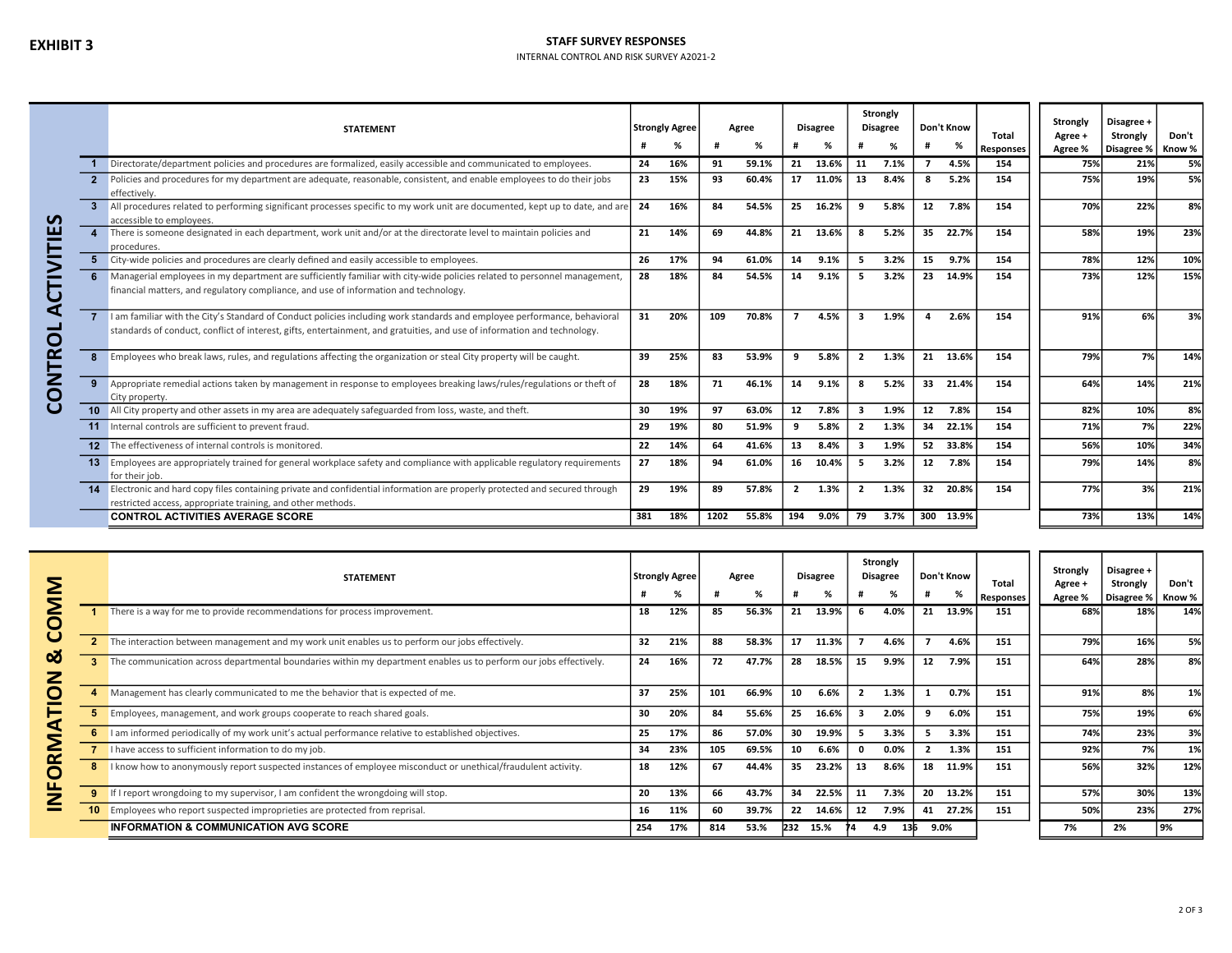### STAFF SURVEY RESPONSES

#### INTERNAL CONTROL AND RISK SURVEY A2021-2

|             |                | <b>STATEMENT</b>                                                                                                                                                                                                                                     |     | <b>Strongly Agree</b> |      | Agree |                | <b>Disagree</b> |                          | Strongly<br><b>Disagree</b> |    | Don't Know | Total            | <b>Strongly</b><br>Agree + | Disagree +<br>Strongly | Don't  |
|-------------|----------------|------------------------------------------------------------------------------------------------------------------------------------------------------------------------------------------------------------------------------------------------------|-----|-----------------------|------|-------|----------------|-----------------|--------------------------|-----------------------------|----|------------|------------------|----------------------------|------------------------|--------|
|             |                |                                                                                                                                                                                                                                                      |     | %                     |      | %     |                | %               |                          | %                           |    | %          | <b>Responses</b> | Agree %                    | Disagree %             | Know % |
|             |                | Directorate/department policies and procedures are formalized, easily accessible and communicated to employees.                                                                                                                                      | 24  | 16%                   | 91   | 59.1% | 21             | 13.6%           | 11                       | 7.1%                        |    | 4.5%       | 154              | 75%                        | 21%                    | 5%     |
|             |                | Policies and procedures for my department are adequate, reasonable, consistent, and enable employees to do their jobs<br>effectively.                                                                                                                | 23  | 15%                   | 93   | 60.4% |                | 17 11.0%        | 13                       | 8.4%                        | 8  | 5.2%       | 154              | 75%                        | 19%                    | 5%     |
| S.          |                | All procedures related to performing significant processes specific to my work unit are documented, kept up to date, and are<br>accessible to employees.                                                                                             | 24  | 16%                   | 84   | 54.5% | 25             | 16.2%           | q                        | 5.8%                        | 12 | 7.8%       | 154              | 70%                        | 22%                    | 8%     |
| ш           | $\overline{4}$ | There is someone designated in each department, work unit and/or at the directorate level to maintain policies and<br>procedures.                                                                                                                    | 21  | 14%                   | 69   | 44.8% | 21             | 13.6%           | -8                       | 5.2%                        |    | 35 22.7%   | 154              | 58%                        | 19%                    | 23%    |
|             |                | City-wide policies and procedures are clearly defined and easily accessible to employees.                                                                                                                                                            | 26  | 17%                   | 94   | 61.0% | 14             | 9.1%            | 5                        | 3.2%                        | 15 | 9.7%       | 154              | 78%                        | 12%                    | 10%    |
| 5           | 6              | Managerial employees in my department are sufficiently familiar with city-wide policies related to personnel management,<br>financial matters, and regulatory compliance, and use of information and technology.                                     | 28  | 18%                   | 84   | 54.5% | 14             | 9.1%            | 5.                       | 3.2%                        |    | 23 14.9%   | 154              | 73%                        | 12%                    | 15%    |
| ৰ<br>ᆜ<br>O |                | I am familiar with the City's Standard of Conduct policies including work standards and employee performance, behavioral<br>standards of conduct, conflict of interest, gifts, entertainment, and gratuities, and use of information and technology. | 31  | 20%                   | 109  | 70.8% | $\overline{ }$ | 4.5%            | 3                        | 1.9%                        | 4  | 2.6%       | 154              | 91%                        | 6%                     | 3%     |
| ≃           | 8              | Employees who break laws, rules, and regulations affecting the organization or steal City property will be caught.                                                                                                                                   | 39  | 25%                   | 83   | 53.9% | 9              | 5.8%            | $\overline{2}$           | 1.3%                        |    | 21 13.6%   | 154              | 79%                        | 7%                     | 14%    |
| る<br>〇      | 9              | Appropriate remedial actions taken by management in response to employees breaking laws/rules/regulations or theft of<br>City property.                                                                                                              | 28  | 18%                   | 71   | 46.1% | 14             | 9.1%            | 8                        | 5.2%                        |    | 33 21.4%   | 154              | 64%                        | 14%                    | 21%    |
| ပ           |                | 10 All City property and other assets in my area are adequately safeguarded from loss, waste, and theft.                                                                                                                                             | 30  | 19%                   | 97   | 63.0% | 12             | 7.8%            | $\overline{\mathbf{3}}$  | 1.9%                        |    | 12 7.8%    | 154              | 82%                        | 10%                    | 8%     |
|             |                | 11 Internal controls are sufficient to prevent fraud.                                                                                                                                                                                                | 29  | 19%                   | 80   | 51.9% | 9              | 5.8%            | $\overline{2}$           | 1.3%                        |    | 34 22.1%   | 154              | 71%                        | 7%                     | 22%    |
|             |                | 12 The effectiveness of internal controls is monitored.                                                                                                                                                                                              | 22  | 14%                   | 64   | 41.6% | 13             | 8.4%            | 3                        | 1.9%                        |    | 52 33.8%   | 154              | 56%                        | 10%                    | 34%    |
|             |                | 13 Employees are appropriately trained for general workplace safety and compliance with applicable regulatory requirements<br>for their job.                                                                                                         | 27  | 18%                   | 94   | 61.0% | 16             | 10.4%           | -5                       | 3.2%                        | 12 | 7.8%       | 154              | 79%                        | 14%                    | 8%     |
|             |                | 14 Electronic and hard copy files containing private and confidential information are properly protected and secured through<br>restricted access, appropriate training, and other methods.                                                          | 29  | 19%                   | 89   | 57.8% | $\overline{2}$ | 1.3%            | $\overline{\phantom{a}}$ | 1.3%                        |    | 32 20.8%   | 154              | 77%                        | 3%                     | 21%    |
|             |                | <b>CONTROL ACTIVITIES AVERAGE SCORE</b>                                                                                                                                                                                                              | 381 | 18%                   | 1202 | 55.8% | 194            | $9.0\%$         | 79                       | 3.7%                        |    | 300 13.9%  |                  | 73%                        | <b>13%</b>             | 14%    |

| Σ       |   | <b>STATEMENT</b>                                                                                                  |     | Strongly Agree |     | Agree |     | <b>Disagree</b> |    | Strongly<br><b>Disagree</b> |              | Don't Know | Total     | Strongly<br>Agree + | Disagree +<br>Strongly | Don't  |
|---------|---|-------------------------------------------------------------------------------------------------------------------|-----|----------------|-----|-------|-----|-----------------|----|-----------------------------|--------------|------------|-----------|---------------------|------------------------|--------|
|         |   |                                                                                                                   |     | %              |     | %     |     | %               |    | %                           |              |            | Responses | Agree %             | Disagree %             | Know % |
| g       |   | There is a way for me to provide recommendations for process improvement.                                         | 18  | 12%            | 85  | 56.3% | 21  | 13.9%           |    | 4.0%                        | 21           | 13.9%      | 151       | 68%                 | 18%                    | 14%    |
|         |   | The interaction between management and my work unit enables us to perform our jobs effectively.                   | 32  | 21%            | 88  | 58.3% | 17  | 11.3%           |    | 4.6%                        |              | 4.6%       | 151       | 79%                 | 16%                    | 5%     |
| ఱ<br>Z  | 3 | The communication across departmental boundaries within my department enables us to perform our jobs effectively. | 24  | 16%            | 72  | 47.7% | 28  | 18.5%           | 15 | 9.9%                        | 12           | 7.9%       | 151       | 64%                 | 28%                    | 8%     |
| O       |   | Management has clearly communicated to me the behavior that is expected of me.                                    | 37  | 25%            | 101 | 66.9% | 10  | 6.6%            |    | 1.3%                        |              | 0.7%       | 151       | 91%                 | 8%                     | 1%     |
| ┕       |   | Employees, management, and work groups cooperate to reach shared goals.                                           | 30  | 20%            | 84  | 55.6% | 25  | 16.6%           |    | 2.0%                        |              | 6.0%       | 151       | 75%                 | 19%                    | 6%     |
| ₫<br>=  |   | I am informed periodically of my work unit's actual performance relative to established objectives.               | 25  | 17%            | 86  | 57.0% | 30  | 19.9%           |    | 3.3%                        | 5.           | 3.3%       | 151       | 74%                 | 23%                    | 3%     |
| ≧<br>≃  |   | I have access to sufficient information to do my job.                                                             | 34  | 23%            | 105 | 69.5% | 10  | 6.6%            |    | $0.0\%$                     | $\mathbf{2}$ | 1.3%       | 151       | 92%                 | 7%                     | 1%     |
| O<br>п. |   | I know how to anonymously report suspected instances of employee misconduct or unethical/fraudulent activity.     | 18  | 12%            | 67  | 44.4% | 35  | 23.2%           | 13 | 8.6%                        | 18           | 11.9%      | 151       | 56%                 | 32%                    | 12%    |
|         |   | If I report wrongdoing to my supervisor, I am confident the wrongdoing will stop.                                 | 20  | 13%            | 66  | 43.7% | 34  | 22.5%           | 11 | 7.3%                        | 20           | 13.2%      | 151       | 57%                 | 30%                    | 13%    |
|         |   | Employees who report suspected improprieties are protected from reprisal.                                         | 16  | 11%            | 60  | 39.7% | 22  | 14.6%           | 12 | 7.9%                        |              | 41 27.2%   | 151       | 50%                 | 23%                    | 27%    |
|         |   | <b>INFORMATION &amp; COMMUNICATION AVG SCORE</b>                                                                  | 254 | 17%            | 814 | 53.%  | 232 | 15.%            |    | 4.9                         |              | 9.0%       |           | 7%                  | 2%                     | l 9%   |